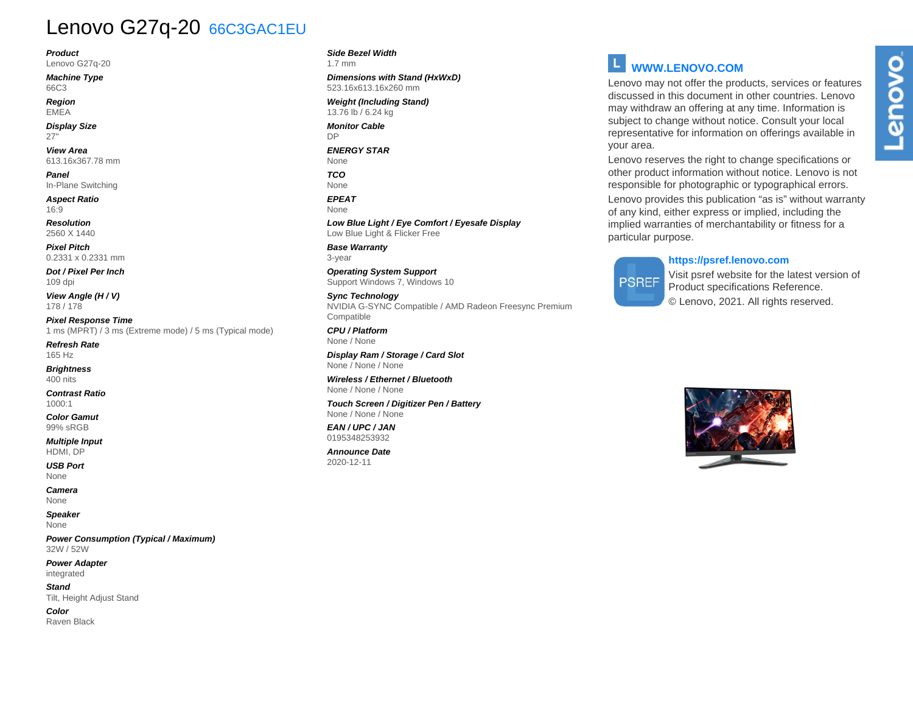## Lenovo G27q-20 66C3GAC1EU

**Product**

Lenovo G27q-20

**Machine Type** 66C3

**Region** EMEA

**Display Size** 27"

**View Area** 613.16x367.78 mm

**Panel** In-Plane Switching

**Aspect Ratio** 16:9

**Resolution** 2560 X 1440

**Pixel Pitch** 0.2331 x 0.2331 mm

**Dot / Pixel Per Inch** 109 dpi

**View Angle (H / V)** 178 / 178

**Pixel Response Time** 1 ms (MPRT) / 3 ms (Extreme mode) / 5 ms (Typical mode)

**Refresh Rate** 165 Hz

**Brightness** 400 nits

**Contrast Ratio** 1000:1

**Color Gamut** 99% sRGB

**Multiple Input** HDMI, DP

**USB Port** None

**Camera** None

**Speaker** None

**Power Consumption (Typical / Maximum)** 32W / 52W

**Power Adapter** integrated

**Stand** Tilt, Height Adjust Stand

**Color** Raven Black **Side Bezel Width** 1.7 mm

**Dimensions with Stand (HxWxD)** 523.16x613.16x260 mm

**Weight (Including Stand)** 13.76 lb / 6.24 kg

**Monitor Cable** DP

**ENERGY STAR** None

**TCO** None

**EPEAT** None

**Low Blue Light / Eye Comfort / Eyesafe Display** Low Blue Light & Flicker Free

**Base Warranty** 3-year

**Operating System Support** Support Windows 7, Windows 10

**Sync Technology** NVIDIA G-SYNC Compatible / AMD Radeon Freesync Premium Compatible

**CPU / Platform** None / None

**Display Ram / Storage / Card Slot** None / None / None

**Wireless / Ethernet / Bluetooth** None / None / None

**Touch Screen / Digitizer Pen / Battery** None / None / None

**EAN / UPC / JAN** 0195348253932

**Announce Date** 2020-12-11

### **WWW.LENOVO.COM**

Lenovo may not offer the products, services or features discussed in this document in other countries. Lenovo may withdraw an offering at any time. Information is subject to change without notice. Consult your local representative for information on offerings available in your area.

Lenovo reserves the right to change specifications or other product information without notice. Lenovo is not responsible for photographic or typographical errors.

Lenovo provides this publication "as is" without warranty of any kind, either express or implied, including the implied warranties of merchantability or fitness for a particular purpose.

#### **https://psref.lenovo.com**

# **PSREF**

Visit psref website for the latest version of Product specifications Reference. © Lenovo, 2021. All rights reserved.



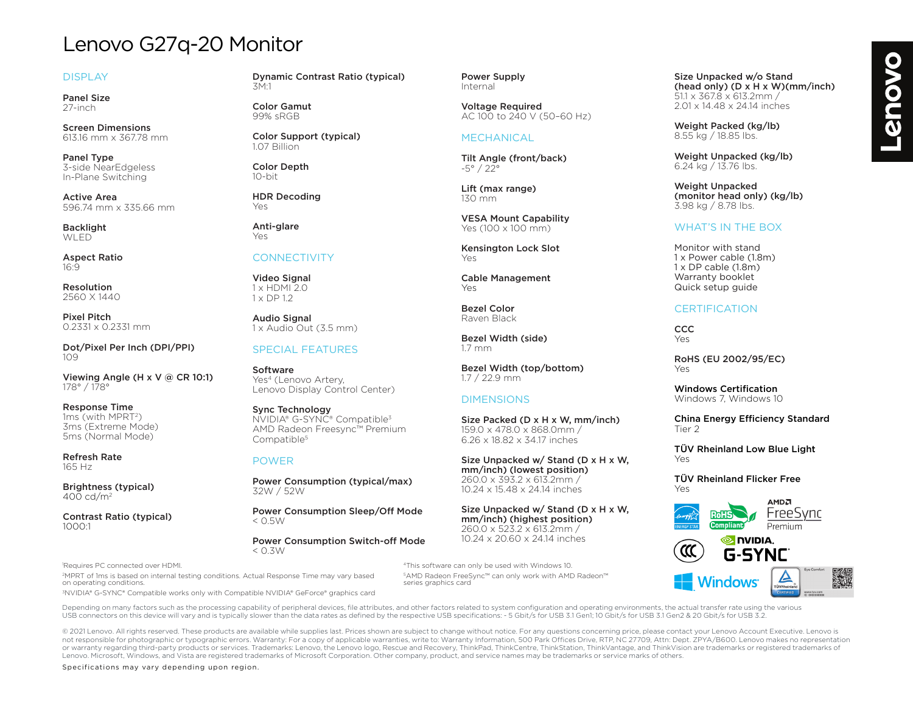## Lenovo G27q-20 Monitor

#### DISPLAY

Panel Size 27-inch

Screen Dimensions 613.16 mm x 367.78 mm

Panel Type 3-side NearEdgeless In-Plane Switching

Active Area 596.74 mm x 335.66 mm

**Backlight WLED** 

Aspect Ratio 16:9

Resolution 2560 X 1440

Pixel Pitch 0.2331 x 0.2331 mm

Dot/Pixel Per Inch (DPI/PPI) 109

Viewing Angle (H x V @ CR 10:1) 178° / 178°

Response Time 1ms (with MPRT2) 3ms (Extreme Mode) 5ms (Normal Mode)

Refresh Rate 165 Hz

Brightness (typical)  $400 \text{ cd/m}^2$ 

Contrast Ratio (typical) 1000:1

1 Requires PC connected over HDMI.

Dynamic Contrast Ratio (typical) 3M:1

Color Gamut 99% sRGB

Color Support (typical) 1.07 Billion

Color Depth 10-bit

HDR Decoding Yes

Anti-glare Yes

#### **CONNECTIVITY**

Video Signal 1 x HDMI 2.0 1 x DP 1.2

Audio Signal  $1 \times$  Audio Out (3.5 mm)

#### SPECIAL FEATURES

Software Yes<sup>4</sup> (Lenovo Artery, Lenovo Display Control Center)

Sync Technology NVIDIA® G-SYNC® Compatible3 AMD Radeon Freesync™ Premium Compatible<sup>5</sup>

#### POWER

Power Consumption (typical/max) 32W / 52W

Power Consumption Sleep/Off Mode  $<$  0.5 $W$ 

Power Consumption Switch-off Mode  $<$  0.3W

Power Supply Internal

Voltage Required AC 100 to 240 V (50–60 Hz)

#### MECHANICAL

Tilt Angle (front/back) -5° / 22°

Lift (max range) 130 mm

VESA Mount Capability Yes (100 x 100 mm)

Kensington Lock Slot Yes

Cable Management Yes

Bezel Color Raven Black

Bezel Width (side) 1.7 mm

Bezel Width (top/bottom) 1.7 / 22.9 mm

#### DIMENSIONS

4This software can only be used with Windows 10. 5AMD Radeon FreeSync™ can only work with AMD Radeon™

Size Packed (D x H x W, mm/inch) 159.0 x 478.0 x 868.0mm / 6.26 x 18.82 x 34.17 inches

Size Unpacked w/ Stand (D x H x W, mm/inch) (lowest position) 260.0 x 393.2 x 613.2mm / 10.24 x 15.48 x 24.14 inches

Size Unpacked w/ Stand (D x H x W, mm/inch) (highest position) 260.0 x 523.2 x 613.2mm / 10.24 x 20.60 x 24.14 inches

Size Unpacked w/o Stand (head only) (D x H x W)(mm/inch) 51.1 x 367.8 x 613.2mm / 2.01 x 14.48 x 24.14 inches

Weight Packed (kg/lb) 8.55 kg / 18.85 lbs.

Weight Unpacked (kg/lb) 6.24 kg / 13.76 lbs.

Weight Unpacked (monitor head only) (kg/lb) 3.98 kg / 8.78 lbs.

#### WHAT'S IN THE BOX

Monitor with stand 1 x Power cable (1.8m) 1 x DP cable (1.8m) Warranty booklet Quick setup guide

#### **CERTIFICATION**

**CCC** Yes

RoHS (EU 2002/95/EC) Yes

Windows Certification Windows 7, Windows 10

China Energy Efficiency Standard Tier 2

TÜV Rheinland Low Blue Light Yes

TÜV Rheinland Flicker Free Yes



2MPRT of 1ms is based on internal testing conditions. Actual Response Time may vary based on operating conditions.

3NVIDIA® G-SYNC® Compatible works only with Compatible NVIDIA® GeForce® graphics card

Depending on many factors such as the processing capability of peripheral devices, file attributes, and other factors related to system configuration and operating environments, the actual transfer rate using the various USB connectors on this device will vary and is typically slower than the data rates as defined by the respective USB specifications: - 5 Gbit/s for USB 3.1 Gen1; 10 Gbit/s for USB 3.1 Gen2 & 20 Gbit/s for USB 3.2.

series graphics card

@ 2021 Lenovo. All rights reserved. These products are available while supplies last. Prices shown are subject to change without notice. For any questions concerning price, please contact your Lenovo Account Executive. Len not responsible for photographic or typographic errors. Warranty: For a copy of applicable warranties, write to: Warranty Information, 500 Park Offices Drive, RTP, NC 27709, Attn: Dept. ZPYA/B600, Lenoyo makes no represent or warranty regarding third-party products or services. Trademarks: Lenovo, the Lenovo logo, Rescue and Recovery, ThinkPad, ThinkCentre, ThinkStation, ThinkVantage, and ThinkVision are trademarks or registered trademarks o Lenovo. Microsoft, Windows, and Vista are registered trademarks of Microsoft Corporation. Other company, product, and service names may be trademarks or service marks of others.

Specifications may vary depending upon region.